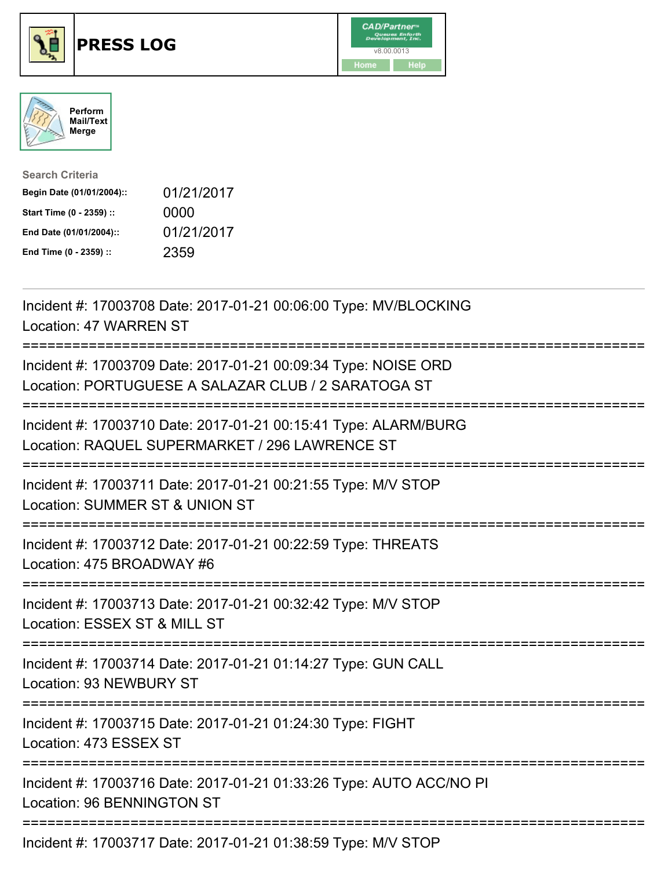

## **PRESS LOG** v8.00.0013





| <b>Search Criteria</b>    |            |
|---------------------------|------------|
| Begin Date (01/01/2004):: | 01/21/2017 |
| Start Time (0 - 2359) ::  | 0000       |
| End Date (01/01/2004)::   | 01/21/2017 |
| End Time (0 - 2359) ::    | 2359       |

Incident #: 17003708 Date: 2017-01-21 00:06:00 Type: MV/BLOCKING Location: 47 WARREN ST =========================================================================== Incident #: 17003709 Date: 2017-01-21 00:09:34 Type: NOISE ORD Location: PORTUGUESE A SALAZAR CLUB / 2 SARATOGA ST =========================================================================== Incident #: 17003710 Date: 2017-01-21 00:15:41 Type: ALARM/BURG Location: RAQUEL SUPERMARKET / 296 LAWRENCE ST =========================================================================== Incident #: 17003711 Date: 2017-01-21 00:21:55 Type: M/V STOP Location: SUMMER ST & UNION ST =========================================================================== Incident #: 17003712 Date: 2017-01-21 00:22:59 Type: THREATS Location: 475 BROADWAY #6 =========================================================================== Incident #: 17003713 Date: 2017-01-21 00:32:42 Type: M/V STOP Location: ESSEX ST & MILL ST =========================================================================== Incident #: 17003714 Date: 2017-01-21 01:14:27 Type: GUN CALL Location: 93 NEWBURY ST =========================================================================== Incident #: 17003715 Date: 2017-01-21 01:24:30 Type: FIGHT Location: 473 ESSEX ST =========================================================================== Incident #: 17003716 Date: 2017-01-21 01:33:26 Type: AUTO ACC/NO PI Location: 96 BENNINGTON ST =========================================================================== Incident #: 17003717 Date: 2017-01-21 01:38:59 Type: M/V STOP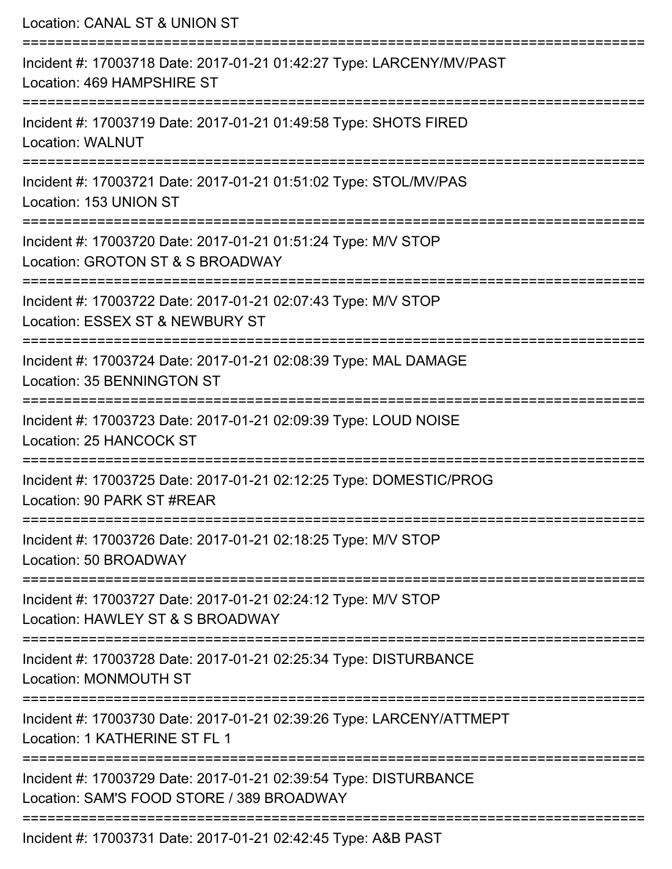| Location: CANAL ST & UNION ST                                                                                                  |
|--------------------------------------------------------------------------------------------------------------------------------|
| :=======================<br>Incident #: 17003718 Date: 2017-01-21 01:42:27 Type: LARCENY/MV/PAST<br>Location: 469 HAMPSHIRE ST |
| Incident #: 17003719 Date: 2017-01-21 01:49:58 Type: SHOTS FIRED<br><b>Location: WALNUT</b>                                    |
| Incident #: 17003721 Date: 2017-01-21 01:51:02 Type: STOL/MV/PAS<br>Location: 153 UNION ST                                     |
| Incident #: 17003720 Date: 2017-01-21 01:51:24 Type: M/V STOP<br>Location: GROTON ST & S BROADWAY                              |
| Incident #: 17003722 Date: 2017-01-21 02:07:43 Type: M/V STOP<br>Location: ESSEX ST & NEWBURY ST                               |
| Incident #: 17003724 Date: 2017-01-21 02:08:39 Type: MAL DAMAGE<br><b>Location: 35 BENNINGTON ST</b>                           |
| Incident #: 17003723 Date: 2017-01-21 02:09:39 Type: LOUD NOISE<br>Location: 25 HANCOCK ST                                     |
| Incident #: 17003725 Date: 2017-01-21 02:12:25 Type: DOMESTIC/PROG<br>Location: 90 PARK ST #REAR                               |
| Incident #: 17003726 Date: 2017-01-21 02:18:25 Type: M/V STOP<br>Location: 50 BROADWAY                                         |
| Incident #: 17003727 Date: 2017-01-21 02:24:12 Type: M/V STOP<br>Location: HAWLEY ST & S BROADWAY                              |
| Incident #: 17003728 Date: 2017-01-21 02:25:34 Type: DISTURBANCE<br><b>Location: MONMOUTH ST</b>                               |
| Incident #: 17003730 Date: 2017-01-21 02:39:26 Type: LARCENY/ATTMEPT<br>Location: 1 KATHERINE ST FL 1                          |
| Incident #: 17003729 Date: 2017-01-21 02:39:54 Type: DISTURBANCE<br>Location: SAM'S FOOD STORE / 389 BROADWAY                  |
| Incident #: 17003731 Date: 2017-01-21 02:42:45 Type: A&B PAST                                                                  |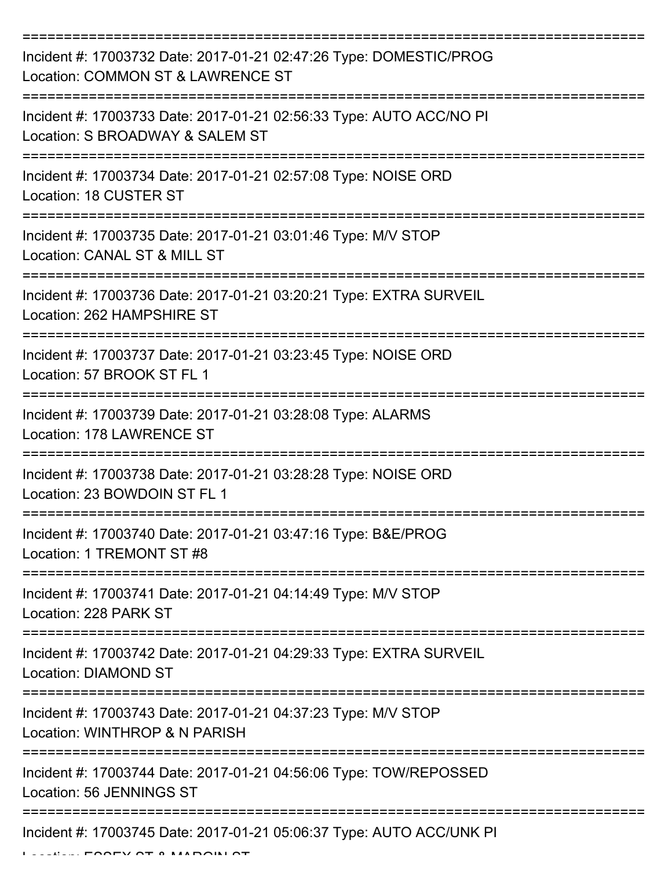| Incident #: 17003732 Date: 2017-01-21 02:47:26 Type: DOMESTIC/PROG<br>Location: COMMON ST & LAWRENCE ST                                                      |
|--------------------------------------------------------------------------------------------------------------------------------------------------------------|
| Incident #: 17003733 Date: 2017-01-21 02:56:33 Type: AUTO ACC/NO PI<br>Location: S BROADWAY & SALEM ST                                                       |
| Incident #: 17003734 Date: 2017-01-21 02:57:08 Type: NOISE ORD<br>Location: 18 CUSTER ST                                                                     |
| Incident #: 17003735 Date: 2017-01-21 03:01:46 Type: M/V STOP<br>Location: CANAL ST & MILL ST                                                                |
| Incident #: 17003736 Date: 2017-01-21 03:20:21 Type: EXTRA SURVEIL<br>Location: 262 HAMPSHIRE ST                                                             |
| Incident #: 17003737 Date: 2017-01-21 03:23:45 Type: NOISE ORD<br>Location: 57 BROOK ST FL 1                                                                 |
| Incident #: 17003739 Date: 2017-01-21 03:28:08 Type: ALARMS<br>Location: 178 LAWRENCE ST                                                                     |
| Incident #: 17003738 Date: 2017-01-21 03:28:28 Type: NOISE ORD<br>Location: 23 BOWDOIN ST FL 1                                                               |
| Incident #: 17003740 Date: 2017-01-21 03:47:16 Type: B&E/PROG<br>Location: 1 TREMONT ST #8                                                                   |
| Incident #: 17003741 Date: 2017-01-21 04:14:49 Type: M/V STOP<br>Location: 228 PARK ST                                                                       |
| Incident #: 17003742 Date: 2017-01-21 04:29:33 Type: EXTRA SURVEIL<br>Location: DIAMOND ST                                                                   |
| Incident #: 17003743 Date: 2017-01-21 04:37:23 Type: M/V STOP<br>Location: WINTHROP & N PARISH                                                               |
| -------------------------------<br>------------------------<br>Incident #: 17003744 Date: 2017-01-21 04:56:06 Type: TOW/REPOSSED<br>Location: 56 JENNINGS ST |
| Incident #: 17003745 Date: 2017-01-21 05:06:37 Type: AUTO ACC/UNK PI                                                                                         |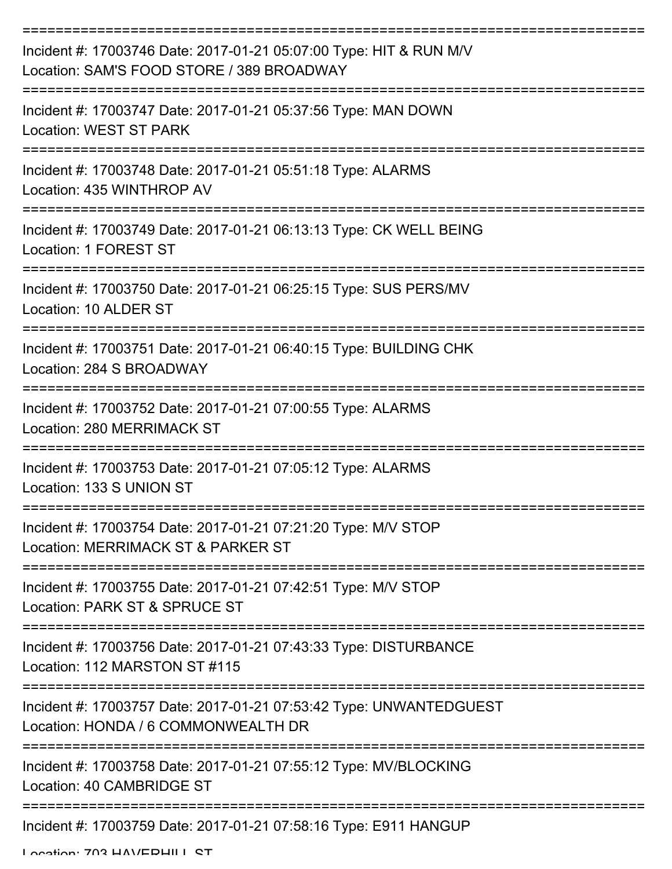| Incident #: 17003746 Date: 2017-01-21 05:07:00 Type: HIT & RUN M/V<br>Location: SAM'S FOOD STORE / 389 BROADWAY |
|-----------------------------------------------------------------------------------------------------------------|
| Incident #: 17003747 Date: 2017-01-21 05:37:56 Type: MAN DOWN<br>Location: WEST ST PARK                         |
| Incident #: 17003748 Date: 2017-01-21 05:51:18 Type: ALARMS<br>Location: 435 WINTHROP AV                        |
| Incident #: 17003749 Date: 2017-01-21 06:13:13 Type: CK WELL BEING<br>Location: 1 FOREST ST                     |
| Incident #: 17003750 Date: 2017-01-21 06:25:15 Type: SUS PERS/MV<br>Location: 10 ALDER ST                       |
| Incident #: 17003751 Date: 2017-01-21 06:40:15 Type: BUILDING CHK<br>Location: 284 S BROADWAY                   |
| Incident #: 17003752 Date: 2017-01-21 07:00:55 Type: ALARMS<br>Location: 280 MERRIMACK ST                       |
| Incident #: 17003753 Date: 2017-01-21 07:05:12 Type: ALARMS<br>Location: 133 S UNION ST                         |
| Incident #: 17003754 Date: 2017-01-21 07:21:20 Type: M/V STOP<br>Location: MERRIMACK ST & PARKER ST             |
| Incident #: 17003755 Date: 2017-01-21 07:42:51 Type: M/V STOP<br>Location: PARK ST & SPRUCE ST                  |
| Incident #: 17003756 Date: 2017-01-21 07:43:33 Type: DISTURBANCE<br>Location: 112 MARSTON ST #115               |
| Incident #: 17003757 Date: 2017-01-21 07:53:42 Type: UNWANTEDGUEST<br>Location: HONDA / 6 COMMONWEALTH DR       |
| Incident #: 17003758 Date: 2017-01-21 07:55:12 Type: MV/BLOCKING<br>Location: 40 CAMBRIDGE ST                   |
| Incident #: 17003759 Date: 2017-01-21 07:58:16 Type: E911 HANGUP                                                |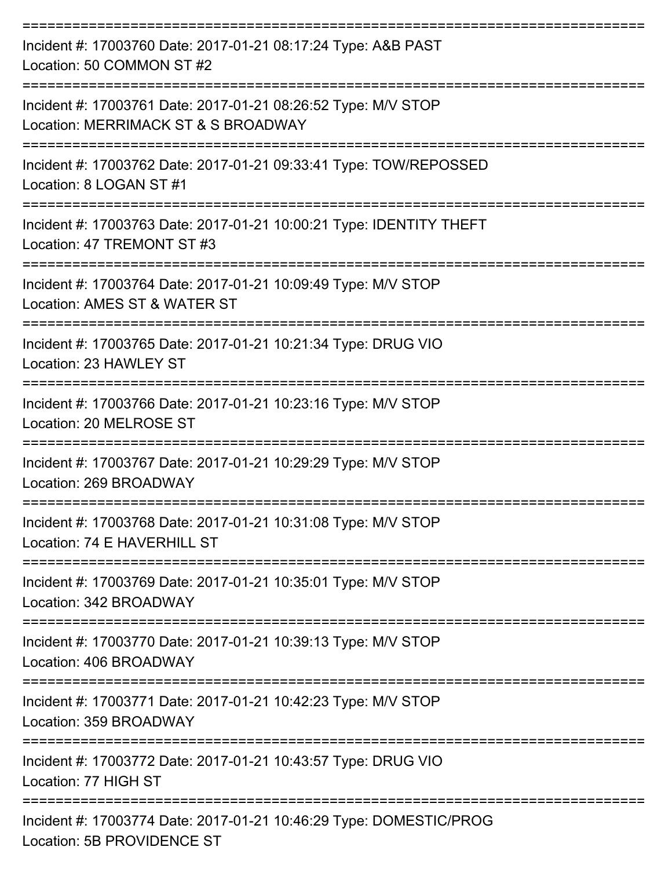| Incident #: 17003760 Date: 2017-01-21 08:17:24 Type: A&B PAST<br>Location: 50 COMMON ST #2           |
|------------------------------------------------------------------------------------------------------|
| Incident #: 17003761 Date: 2017-01-21 08:26:52 Type: M/V STOP<br>Location: MERRIMACK ST & S BROADWAY |
| Incident #: 17003762 Date: 2017-01-21 09:33:41 Type: TOW/REPOSSED<br>Location: 8 LOGAN ST #1         |
| Incident #: 17003763 Date: 2017-01-21 10:00:21 Type: IDENTITY THEFT<br>Location: 47 TREMONT ST #3    |
| Incident #: 17003764 Date: 2017-01-21 10:09:49 Type: M/V STOP<br>Location: AMES ST & WATER ST        |
| Incident #: 17003765 Date: 2017-01-21 10:21:34 Type: DRUG VIO<br>Location: 23 HAWLEY ST              |
| Incident #: 17003766 Date: 2017-01-21 10:23:16 Type: M/V STOP<br>Location: 20 MELROSE ST             |
| Incident #: 17003767 Date: 2017-01-21 10:29:29 Type: M/V STOP<br>Location: 269 BROADWAY              |
| Incident #: 17003768 Date: 2017-01-21 10:31:08 Type: M/V STOP<br>Location: 74 E HAVERHILL ST         |
| Incident #: 17003769 Date: 2017-01-21 10:35:01 Type: M/V STOP<br>Location: 342 BROADWAY              |
| Incident #: 17003770 Date: 2017-01-21 10:39:13 Type: M/V STOP<br>Location: 406 BROADWAY              |
| Incident #: 17003771 Date: 2017-01-21 10:42:23 Type: M/V STOP<br>Location: 359 BROADWAY              |
| Incident #: 17003772 Date: 2017-01-21 10:43:57 Type: DRUG VIO<br>Location: 77 HIGH ST                |
| Incident #: 17003774 Date: 2017-01-21 10:46:29 Type: DOMESTIC/PROG<br>Location: 5B PROVIDENCE ST     |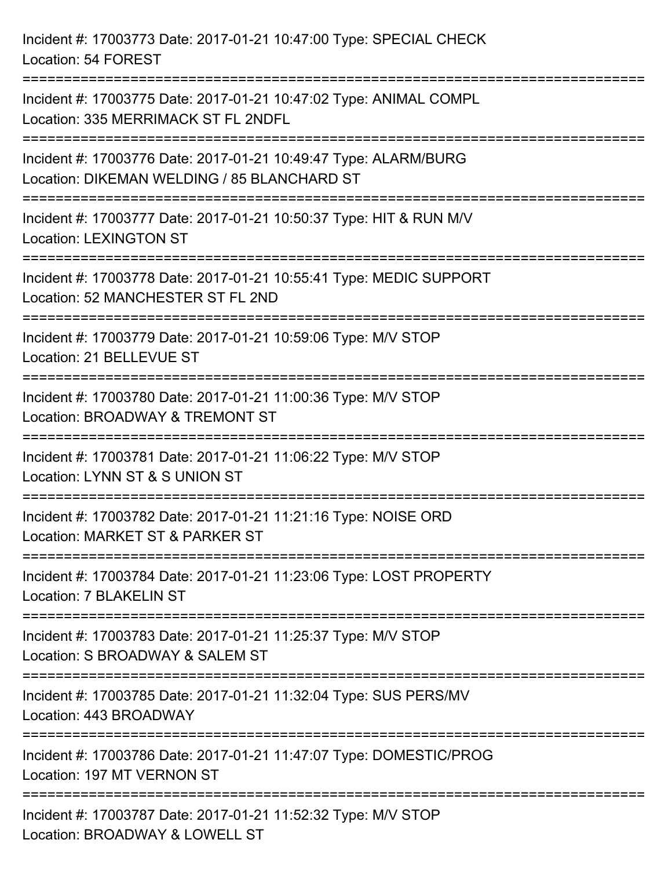Incident #: 17003773 Date: 2017-01-21 10:47:00 Type: SPECIAL CHECK Location: 54 FOREST =========================================================================== Incident #: 17003775 Date: 2017-01-21 10:47:02 Type: ANIMAL COMPL Location: 335 MERRIMACK ST FL 2NDFL =========================================================================== Incident #: 17003776 Date: 2017-01-21 10:49:47 Type: ALARM/BURG Location: DIKEMAN WELDING / 85 BLANCHARD ST =========================================================================== Incident #: 17003777 Date: 2017-01-21 10:50:37 Type: HIT & RUN M/V Location: LEXINGTON ST =========================================================================== Incident #: 17003778 Date: 2017-01-21 10:55:41 Type: MEDIC SUPPORT Location: 52 MANCHESTER ST FL 2ND =========================================================================== Incident #: 17003779 Date: 2017-01-21 10:59:06 Type: M/V STOP Location: 21 BELLEVUE ST =========================================================================== Incident #: 17003780 Date: 2017-01-21 11:00:36 Type: M/V STOP Location: BROADWAY & TREMONT ST =========================================================================== Incident #: 17003781 Date: 2017-01-21 11:06:22 Type: M/V STOP Location: LYNN ST & S UNION ST =========================================================================== Incident #: 17003782 Date: 2017-01-21 11:21:16 Type: NOISE ORD Location: MARKET ST & PARKER ST =========================================================================== Incident #: 17003784 Date: 2017-01-21 11:23:06 Type: LOST PROPERTY Location: 7 BLAKELIN ST =========================================================================== Incident #: 17003783 Date: 2017-01-21 11:25:37 Type: M/V STOP Location: S BROADWAY & SALEM ST =========================================================================== Incident #: 17003785 Date: 2017-01-21 11:32:04 Type: SUS PERS/MV Location: 443 BROADWAY =========================================================================== Incident #: 17003786 Date: 2017-01-21 11:47:07 Type: DOMESTIC/PROG Location: 197 MT VERNON ST =========================================================================== Incident #: 17003787 Date: 2017-01-21 11:52:32 Type: M/V STOP Location: BROADWAY & LOWELL ST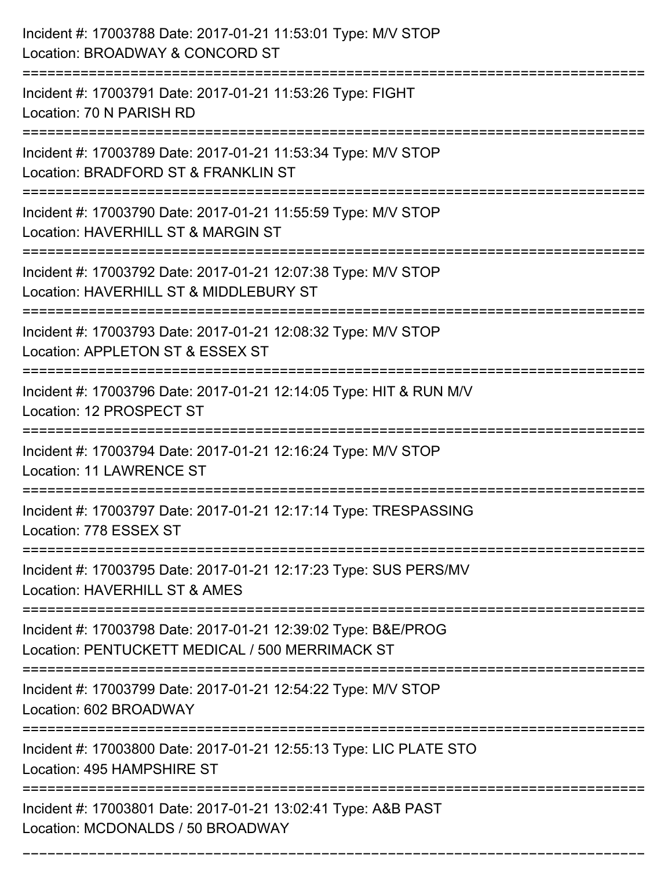| Incident #: 17003788 Date: 2017-01-21 11:53:01 Type: M/V STOP<br>Location: BROADWAY & CONCORD ST                                      |
|---------------------------------------------------------------------------------------------------------------------------------------|
| Incident #: 17003791 Date: 2017-01-21 11:53:26 Type: FIGHT<br>Location: 70 N PARISH RD                                                |
| Incident #: 17003789 Date: 2017-01-21 11:53:34 Type: M/V STOP<br>Location: BRADFORD ST & FRANKLIN ST<br>============================= |
| Incident #: 17003790 Date: 2017-01-21 11:55:59 Type: M/V STOP<br>Location: HAVERHILL ST & MARGIN ST                                   |
| Incident #: 17003792 Date: 2017-01-21 12:07:38 Type: M/V STOP<br>Location: HAVERHILL ST & MIDDLEBURY ST                               |
| Incident #: 17003793 Date: 2017-01-21 12:08:32 Type: M/V STOP<br>Location: APPLETON ST & ESSEX ST                                     |
| Incident #: 17003796 Date: 2017-01-21 12:14:05 Type: HIT & RUN M/V<br>Location: 12 PROSPECT ST                                        |
| Incident #: 17003794 Date: 2017-01-21 12:16:24 Type: M/V STOP<br><b>Location: 11 LAWRENCE ST</b>                                      |
| Incident #: 17003797 Date: 2017-01-21 12:17:14 Type: TRESPASSING<br>Location: 778 ESSEX ST                                            |
| Incident #: 17003795 Date: 2017-01-21 12:17:23 Type: SUS PERS/MV<br>Location: HAVERHILL ST & AMES                                     |
| Incident #: 17003798 Date: 2017-01-21 12:39:02 Type: B&E/PROG<br>Location: PENTUCKETT MEDICAL / 500 MERRIMACK ST                      |
| Incident #: 17003799 Date: 2017-01-21 12:54:22 Type: M/V STOP<br>Location: 602 BROADWAY                                               |
| Incident #: 17003800 Date: 2017-01-21 12:55:13 Type: LIC PLATE STO<br>Location: 495 HAMPSHIRE ST                                      |
| Incident #: 17003801 Date: 2017-01-21 13:02:41 Type: A&B PAST<br>Location: MCDONALDS / 50 BROADWAY                                    |

===========================================================================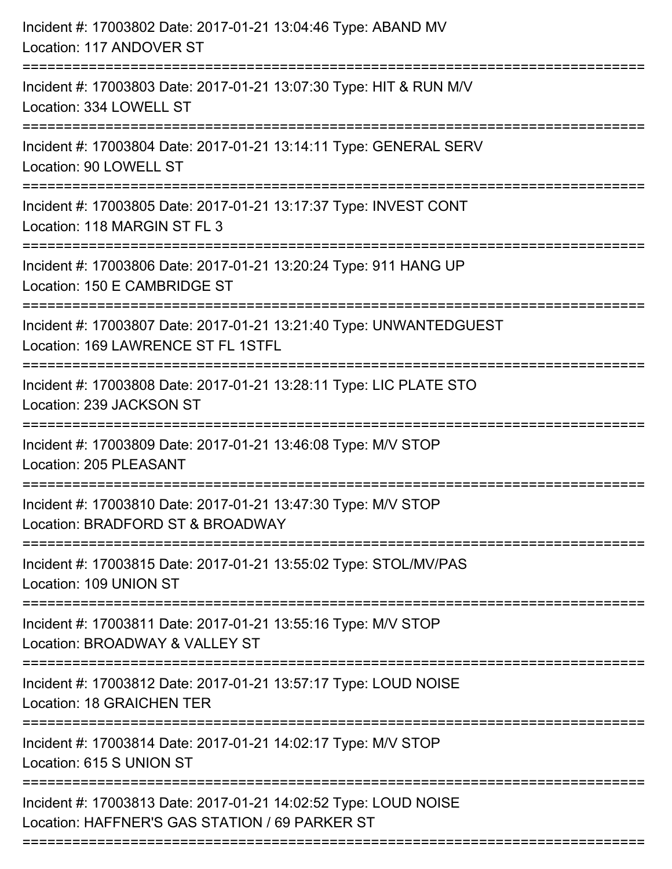| Incident #: 17003802 Date: 2017-01-21 13:04:46 Type: ABAND MV<br>Location: 117 ANDOVER ST                                |
|--------------------------------------------------------------------------------------------------------------------------|
| Incident #: 17003803 Date: 2017-01-21 13:07:30 Type: HIT & RUN M/V<br>Location: 334 LOWELL ST                            |
| Incident #: 17003804 Date: 2017-01-21 13:14:11 Type: GENERAL SERV<br>Location: 90 LOWELL ST                              |
| Incident #: 17003805 Date: 2017-01-21 13:17:37 Type: INVEST CONT<br>Location: 118 MARGIN ST FL 3                         |
| Incident #: 17003806 Date: 2017-01-21 13:20:24 Type: 911 HANG UP<br>Location: 150 E CAMBRIDGE ST<br>==================== |
| Incident #: 17003807 Date: 2017-01-21 13:21:40 Type: UNWANTEDGUEST<br>Location: 169 LAWRENCE ST FL 1STFL                 |
| Incident #: 17003808 Date: 2017-01-21 13:28:11 Type: LIC PLATE STO<br>Location: 239 JACKSON ST                           |
| Incident #: 17003809 Date: 2017-01-21 13:46:08 Type: M/V STOP<br><b>Location: 205 PLEASANT</b>                           |
| Incident #: 17003810 Date: 2017-01-21 13:47:30 Type: M/V STOP<br>Location: BRADFORD ST & BROADWAY                        |
| Incident #: 17003815 Date: 2017-01-21 13:55:02 Type: STOL/MV/PAS<br>Location: 109 UNION ST                               |
| Incident #: 17003811 Date: 2017-01-21 13:55:16 Type: M/V STOP<br>Location: BROADWAY & VALLEY ST                          |
| Incident #: 17003812 Date: 2017-01-21 13:57:17 Type: LOUD NOISE<br><b>Location: 18 GRAICHEN TER</b>                      |
| Incident #: 17003814 Date: 2017-01-21 14:02:17 Type: M/V STOP<br>Location: 615 S UNION ST                                |
| Incident #: 17003813 Date: 2017-01-21 14:02:52 Type: LOUD NOISE<br>Location: HAFFNER'S GAS STATION / 69 PARKER ST        |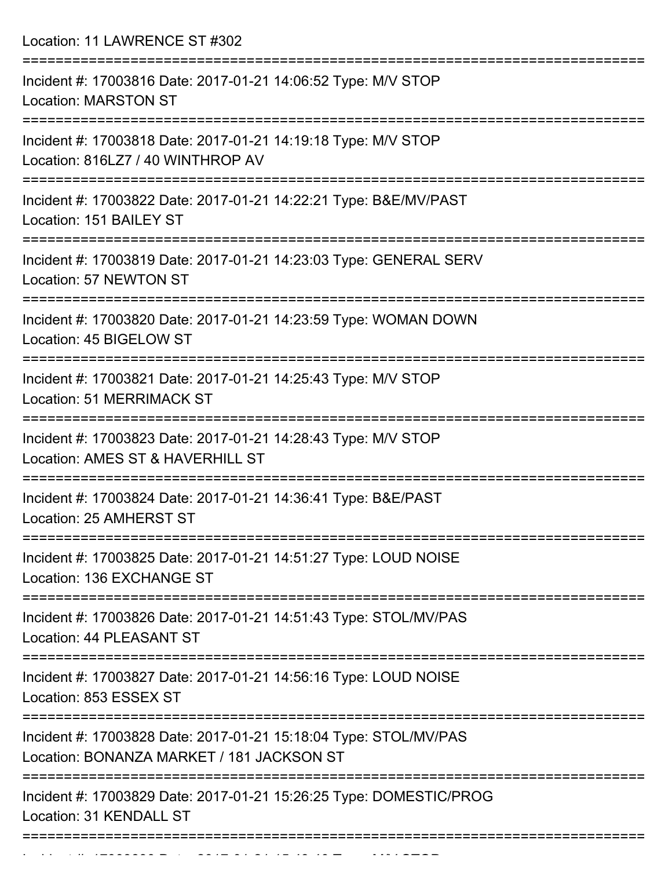Location: 11 LAWRENCE ST #302

| Incident #: 17003816 Date: 2017-01-21 14:06:52 Type: M/V STOP<br><b>Location: MARSTON ST</b>                      |
|-------------------------------------------------------------------------------------------------------------------|
| Incident #: 17003818 Date: 2017-01-21 14:19:18 Type: M/V STOP<br>Location: 816LZ7 / 40 WINTHROP AV                |
| Incident #: 17003822 Date: 2017-01-21 14:22:21 Type: B&E/MV/PAST<br>Location: 151 BAILEY ST                       |
| Incident #: 17003819 Date: 2017-01-21 14:23:03 Type: GENERAL SERV<br>Location: 57 NEWTON ST                       |
| Incident #: 17003820 Date: 2017-01-21 14:23:59 Type: WOMAN DOWN<br>Location: 45 BIGELOW ST                        |
| Incident #: 17003821 Date: 2017-01-21 14:25:43 Type: M/V STOP<br>Location: 51 MERRIMACK ST                        |
| Incident #: 17003823 Date: 2017-01-21 14:28:43 Type: M/V STOP<br>Location: AMES ST & HAVERHILL ST                 |
| Incident #: 17003824 Date: 2017-01-21 14:36:41 Type: B&E/PAST<br>Location: 25 AMHERST ST                          |
| Incident #: 17003825 Date: 2017-01-21 14:51:27 Type: LOUD NOISE<br>Location: 136 EXCHANGE ST                      |
| =================<br>Incident #: 17003826 Date: 2017-01-21 14:51:43 Type: STOL/MV/PAS<br>Location: 44 PLEASANT ST |
| Incident #: 17003827 Date: 2017-01-21 14:56:16 Type: LOUD NOISE<br>Location: 853 ESSEX ST                         |
| Incident #: 17003828 Date: 2017-01-21 15:18:04 Type: STOL/MV/PAS<br>Location: BONANZA MARKET / 181 JACKSON ST     |
| Incident #: 17003829 Date: 2017-01-21 15:26:25 Type: DOMESTIC/PROG<br>Location: 31 KENDALL ST                     |
|                                                                                                                   |

Incident #: 17003830 Date: 2017 01 21 15:43:40 Type: M/V STOP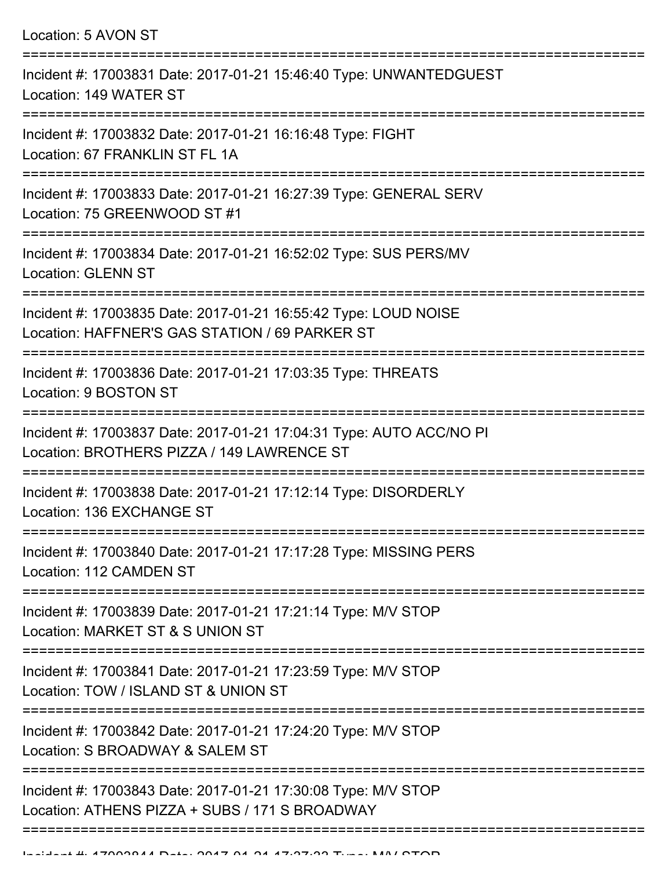| Location: 5 AVON ST                                                                                                       |
|---------------------------------------------------------------------------------------------------------------------------|
| Incident #: 17003831 Date: 2017-01-21 15:46:40 Type: UNWANTEDGUEST<br>Location: 149 WATER ST<br>------------------------- |
| Incident #: 17003832 Date: 2017-01-21 16:16:48 Type: FIGHT<br>Location: 67 FRANKLIN ST FL 1A                              |
| Incident #: 17003833 Date: 2017-01-21 16:27:39 Type: GENERAL SERV<br>Location: 75 GREENWOOD ST #1                         |
| Incident #: 17003834 Date: 2017-01-21 16:52:02 Type: SUS PERS/MV<br><b>Location: GLENN ST</b>                             |
| Incident #: 17003835 Date: 2017-01-21 16:55:42 Type: LOUD NOISE<br>Location: HAFFNER'S GAS STATION / 69 PARKER ST         |
| Incident #: 17003836 Date: 2017-01-21 17:03:35 Type: THREATS<br>Location: 9 BOSTON ST<br>====================             |
| Incident #: 17003837 Date: 2017-01-21 17:04:31 Type: AUTO ACC/NO PI<br>Location: BROTHERS PIZZA / 149 LAWRENCE ST         |
| Incident #: 17003838 Date: 2017-01-21 17:12:14 Type: DISORDERLY<br>Location: 136 EXCHANGE ST                              |
| Incident #: 17003840 Date: 2017-01-21 17:17:28 Type: MISSING PERS<br>Location: 112 CAMDEN ST                              |
| Incident #: 17003839 Date: 2017-01-21 17:21:14 Type: M/V STOP<br>Location: MARKET ST & S UNION ST                         |
| Incident #: 17003841 Date: 2017-01-21 17:23:59 Type: M/V STOP<br>Location: TOW / ISLAND ST & UNION ST                     |
| Incident #: 17003842 Date: 2017-01-21 17:24:20 Type: M/V STOP<br>Location: S BROADWAY & SALEM ST                          |
| Incident #: 17003843 Date: 2017-01-21 17:30:08 Type: M/V STOP<br>Location: ATHENS PIZZA + SUBS / 171 S BROADWAY           |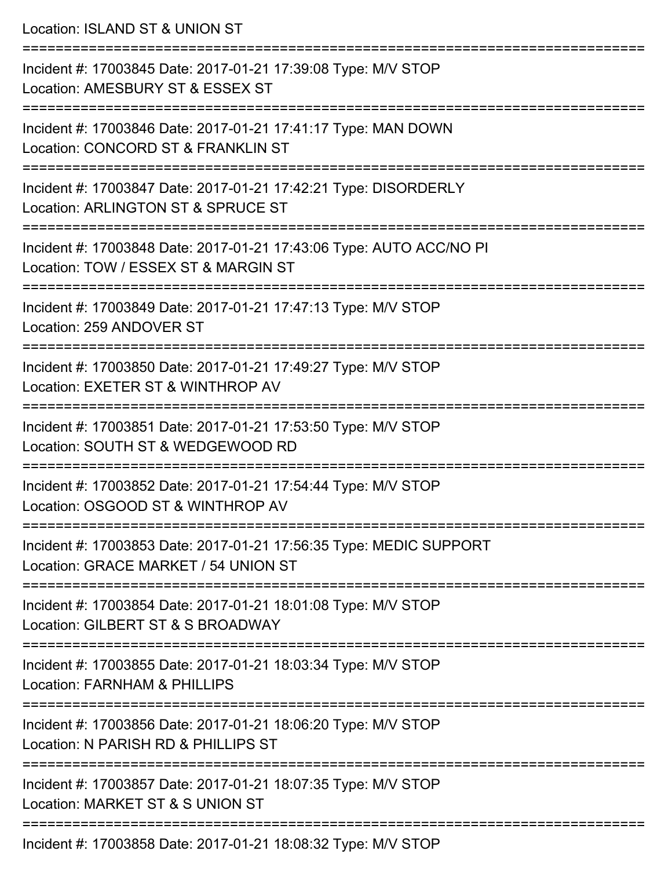| Location: ISLAND ST & UNION ST                                                                                                           |
|------------------------------------------------------------------------------------------------------------------------------------------|
| Incident #: 17003845 Date: 2017-01-21 17:39:08 Type: M/V STOP<br>Location: AMESBURY ST & ESSEX ST                                        |
| Incident #: 17003846 Date: 2017-01-21 17:41:17 Type: MAN DOWN<br>Location: CONCORD ST & FRANKLIN ST                                      |
| Incident #: 17003847 Date: 2017-01-21 17:42:21 Type: DISORDERLY<br>Location: ARLINGTON ST & SPRUCE ST<br>:============================== |
| Incident #: 17003848 Date: 2017-01-21 17:43:06 Type: AUTO ACC/NO PI<br>Location: TOW / ESSEX ST & MARGIN ST                              |
| Incident #: 17003849 Date: 2017-01-21 17:47:13 Type: M/V STOP<br>Location: 259 ANDOVER ST<br>:==================================         |
| Incident #: 17003850 Date: 2017-01-21 17:49:27 Type: M/V STOP<br>Location: EXETER ST & WINTHROP AV                                       |
| Incident #: 17003851 Date: 2017-01-21 17:53:50 Type: M/V STOP<br>Location: SOUTH ST & WEDGEWOOD RD                                       |
| Incident #: 17003852 Date: 2017-01-21 17:54:44 Type: M/V STOP<br>Location: OSGOOD ST & WINTHROP AV                                       |
| Incident #: 17003853 Date: 2017-01-21 17:56:35 Type: MEDIC SUPPORT<br>Location: GRACE MARKET / 54 UNION ST                               |
| Incident #: 17003854 Date: 2017-01-21 18:01:08 Type: M/V STOP<br>Location: GILBERT ST & S BROADWAY                                       |
| Incident #: 17003855 Date: 2017-01-21 18:03:34 Type: M/V STOP<br>Location: FARNHAM & PHILLIPS                                            |
| Incident #: 17003856 Date: 2017-01-21 18:06:20 Type: M/V STOP<br>Location: N PARISH RD & PHILLIPS ST                                     |
| Incident #: 17003857 Date: 2017-01-21 18:07:35 Type: M/V STOP<br>Location: MARKET ST & S UNION ST                                        |
| Incident #: 17003858 Date: 2017-01-21 18:08:32 Type: M/V STOP                                                                            |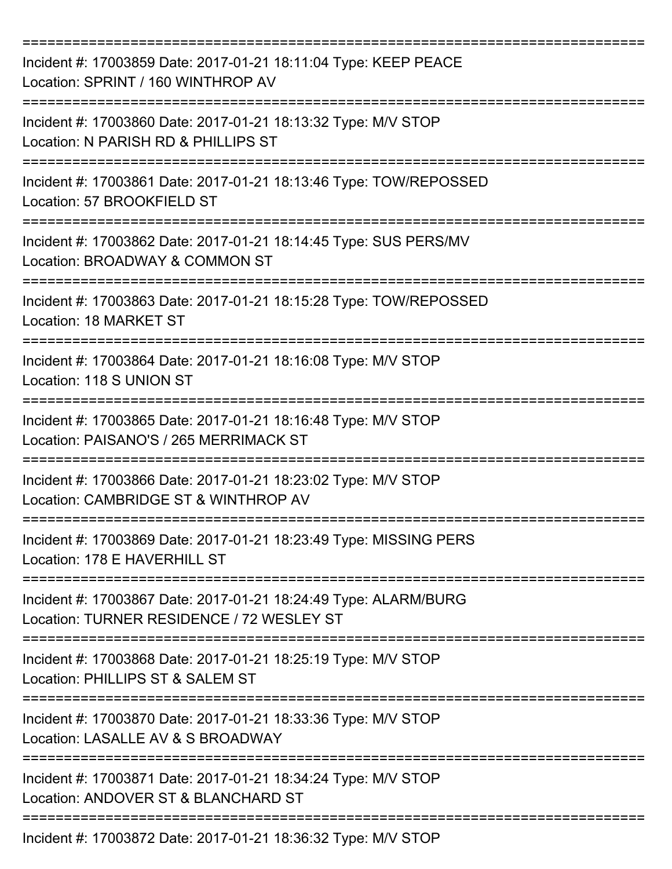| Incident #: 17003859 Date: 2017-01-21 18:11:04 Type: KEEP PEACE<br>Location: SPRINT / 160 WINTHROP AV        |
|--------------------------------------------------------------------------------------------------------------|
| Incident #: 17003860 Date: 2017-01-21 18:13:32 Type: M/V STOP<br>Location: N PARISH RD & PHILLIPS ST         |
| Incident #: 17003861 Date: 2017-01-21 18:13:46 Type: TOW/REPOSSED<br>Location: 57 BROOKFIELD ST              |
| Incident #: 17003862 Date: 2017-01-21 18:14:45 Type: SUS PERS/MV<br>Location: BROADWAY & COMMON ST           |
| Incident #: 17003863 Date: 2017-01-21 18:15:28 Type: TOW/REPOSSED<br>Location: 18 MARKET ST                  |
| Incident #: 17003864 Date: 2017-01-21 18:16:08 Type: M/V STOP<br>Location: 118 S UNION ST                    |
| Incident #: 17003865 Date: 2017-01-21 18:16:48 Type: M/V STOP<br>Location: PAISANO'S / 265 MERRIMACK ST      |
| Incident #: 17003866 Date: 2017-01-21 18:23:02 Type: M/V STOP<br>Location: CAMBRIDGE ST & WINTHROP AV        |
| Incident #: 17003869 Date: 2017-01-21 18:23:49 Type: MISSING PERS<br>Location: 178 E HAVERHILL ST            |
| Incident #: 17003867 Date: 2017-01-21 18:24:49 Type: ALARM/BURG<br>Location: TURNER RESIDENCE / 72 WESLEY ST |
| Incident #: 17003868 Date: 2017-01-21 18:25:19 Type: M/V STOP<br>Location: PHILLIPS ST & SALEM ST            |
| Incident #: 17003870 Date: 2017-01-21 18:33:36 Type: M/V STOP<br>Location: LASALLE AV & S BROADWAY           |
| Incident #: 17003871 Date: 2017-01-21 18:34:24 Type: M/V STOP<br>Location: ANDOVER ST & BLANCHARD ST         |
| Incident #: 17003872 Date: 2017-01-21 18:36:32 Type: M/V STOP                                                |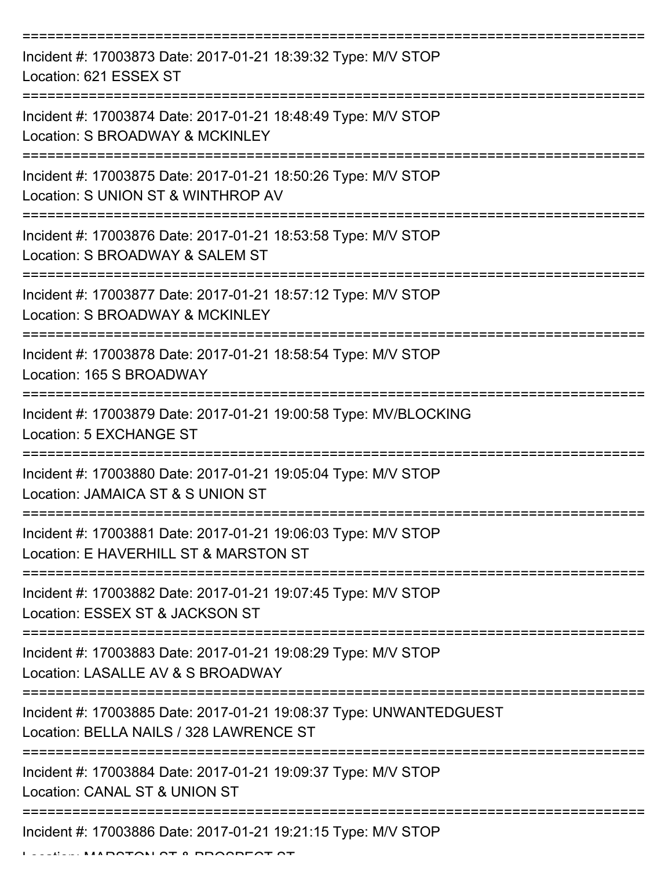| Incident #: 17003873 Date: 2017-01-21 18:39:32 Type: M/V STOP<br>Location: 621 ESSEX ST                          |
|------------------------------------------------------------------------------------------------------------------|
| Incident #: 17003874 Date: 2017-01-21 18:48:49 Type: M/V STOP<br>Location: S BROADWAY & MCKINLEY                 |
| Incident #: 17003875 Date: 2017-01-21 18:50:26 Type: M/V STOP<br>Location: S UNION ST & WINTHROP AV              |
| Incident #: 17003876 Date: 2017-01-21 18:53:58 Type: M/V STOP<br>Location: S BROADWAY & SALEM ST                 |
| Incident #: 17003877 Date: 2017-01-21 18:57:12 Type: M/V STOP<br>Location: S BROADWAY & MCKINLEY                 |
| Incident #: 17003878 Date: 2017-01-21 18:58:54 Type: M/V STOP<br>Location: 165 S BROADWAY                        |
| Incident #: 17003879 Date: 2017-01-21 19:00:58 Type: MV/BLOCKING<br>Location: 5 EXCHANGE ST                      |
| ==========<br>Incident #: 17003880 Date: 2017-01-21 19:05:04 Type: M/V STOP<br>Location: JAMAICA ST & S UNION ST |
| Incident #: 17003881 Date: 2017-01-21 19:06:03 Type: M/V STOP<br>Location: E HAVERHILL ST & MARSTON ST           |
| Incident #: 17003882 Date: 2017-01-21 19:07:45 Type: M/V STOP<br>Location: ESSEX ST & JACKSON ST                 |
| Incident #: 17003883 Date: 2017-01-21 19:08:29 Type: M/V STOP<br>Location: LASALLE AV & S BROADWAY               |
| Incident #: 17003885 Date: 2017-01-21 19:08:37 Type: UNWANTEDGUEST<br>Location: BELLA NAILS / 328 LAWRENCE ST    |
| Incident #: 17003884 Date: 2017-01-21 19:09:37 Type: M/V STOP<br>Location: CANAL ST & UNION ST                   |
| Incident #: 17003886 Date: 2017-01-21 19:21:15 Type: M/V STOP                                                    |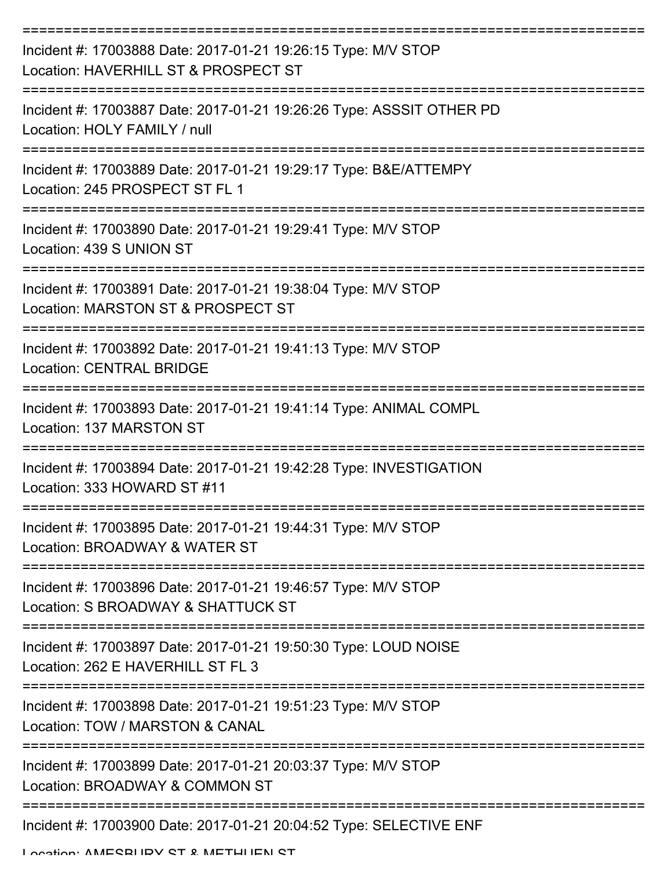| Incident #: 17003888 Date: 2017-01-21 19:26:15 Type: M/V STOP<br>Location: HAVERHILL ST & PROSPECT ST |
|-------------------------------------------------------------------------------------------------------|
| Incident #: 17003887 Date: 2017-01-21 19:26:26 Type: ASSSIT OTHER PD<br>Location: HOLY FAMILY / null  |
| Incident #: 17003889 Date: 2017-01-21 19:29:17 Type: B&E/ATTEMPY<br>Location: 245 PROSPECT ST FL 1    |
| Incident #: 17003890 Date: 2017-01-21 19:29:41 Type: M/V STOP<br>Location: 439 S UNION ST             |
| Incident #: 17003891 Date: 2017-01-21 19:38:04 Type: M/V STOP<br>Location: MARSTON ST & PROSPECT ST   |
| Incident #: 17003892 Date: 2017-01-21 19:41:13 Type: M/V STOP<br><b>Location: CENTRAL BRIDGE</b>      |
| Incident #: 17003893 Date: 2017-01-21 19:41:14 Type: ANIMAL COMPL<br>Location: 137 MARSTON ST         |
| Incident #: 17003894 Date: 2017-01-21 19:42:28 Type: INVESTIGATION<br>Location: 333 HOWARD ST #11     |
| Incident #: 17003895 Date: 2017-01-21 19:44:31 Type: M/V STOP<br>Location: BROADWAY & WATER ST        |
| Incident #: 17003896 Date: 2017-01-21 19:46:57 Type: M/V STOP<br>Location: S BROADWAY & SHATTUCK ST   |
| Incident #: 17003897 Date: 2017-01-21 19:50:30 Type: LOUD NOISE<br>Location: 262 E HAVERHILL ST FL 3  |
| Incident #: 17003898 Date: 2017-01-21 19:51:23 Type: M/V STOP<br>Location: TOW / MARSTON & CANAL      |
| Incident #: 17003899 Date: 2017-01-21 20:03:37 Type: M/V STOP<br>Location: BROADWAY & COMMON ST       |
| -----------------------<br>Incident #: 17003900 Date: 2017-01-21 20:04:52 Type: SELECTIVE ENF         |

Location: AMESBURY ST & METHUEN ST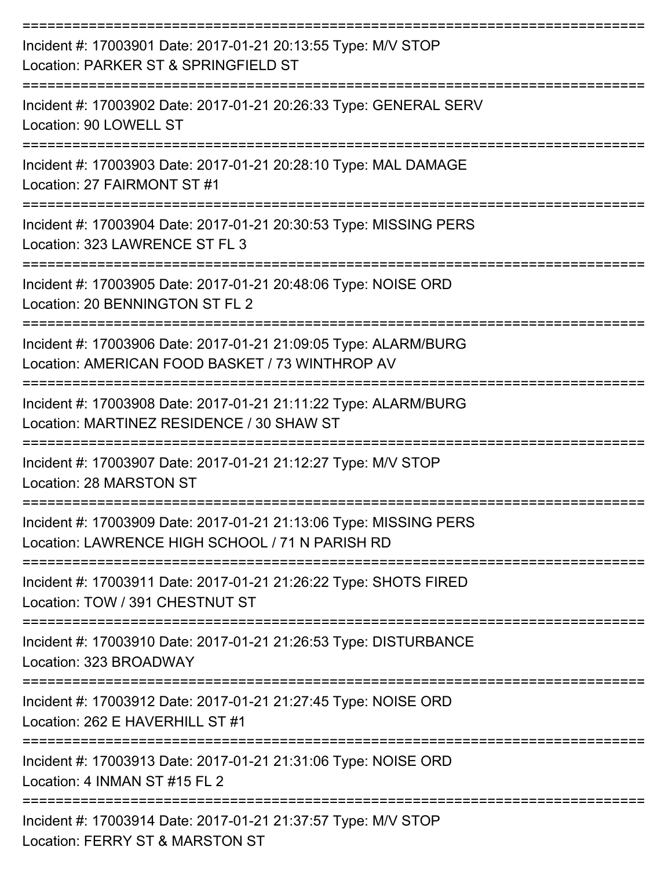| Incident #: 17003901 Date: 2017-01-21 20:13:55 Type: M/V STOP<br>Location: PARKER ST & SPRINGFIELD ST                                               |
|-----------------------------------------------------------------------------------------------------------------------------------------------------|
| Incident #: 17003902 Date: 2017-01-21 20:26:33 Type: GENERAL SERV<br>Location: 90 LOWELL ST                                                         |
| Incident #: 17003903 Date: 2017-01-21 20:28:10 Type: MAL DAMAGE<br>Location: 27 FAIRMONT ST #1                                                      |
| Incident #: 17003904 Date: 2017-01-21 20:30:53 Type: MISSING PERS<br>Location: 323 LAWRENCE ST FL 3                                                 |
| Incident #: 17003905 Date: 2017-01-21 20:48:06 Type: NOISE ORD<br>Location: 20 BENNINGTON ST FL 2                                                   |
| Incident #: 17003906 Date: 2017-01-21 21:09:05 Type: ALARM/BURG<br>Location: AMERICAN FOOD BASKET / 73 WINTHROP AV                                  |
| Incident #: 17003908 Date: 2017-01-21 21:11:22 Type: ALARM/BURG<br>Location: MARTINEZ RESIDENCE / 30 SHAW ST                                        |
| Incident #: 17003907 Date: 2017-01-21 21:12:27 Type: M/V STOP<br>Location: 28 MARSTON ST                                                            |
| Incident #: 17003909 Date: 2017-01-21 21:13:06 Type: MISSING PERS<br>Location: LAWRENCE HIGH SCHOOL / 71 N PARISH RD<br>--------------------------- |
| Incident #: 17003911 Date: 2017-01-21 21:26:22 Type: SHOTS FIRED<br>Location: TOW / 391 CHESTNUT ST                                                 |
| Incident #: 17003910 Date: 2017-01-21 21:26:53 Type: DISTURBANCE<br>Location: 323 BROADWAY                                                          |
| Incident #: 17003912 Date: 2017-01-21 21:27:45 Type: NOISE ORD<br>Location: 262 E HAVERHILL ST #1                                                   |
| Incident #: 17003913 Date: 2017-01-21 21:31:06 Type: NOISE ORD<br>Location: 4 INMAN ST #15 FL 2                                                     |
| Incident #: 17003914 Date: 2017-01-21 21:37:57 Type: M/V STOP<br>Location: FERRY ST & MARSTON ST                                                    |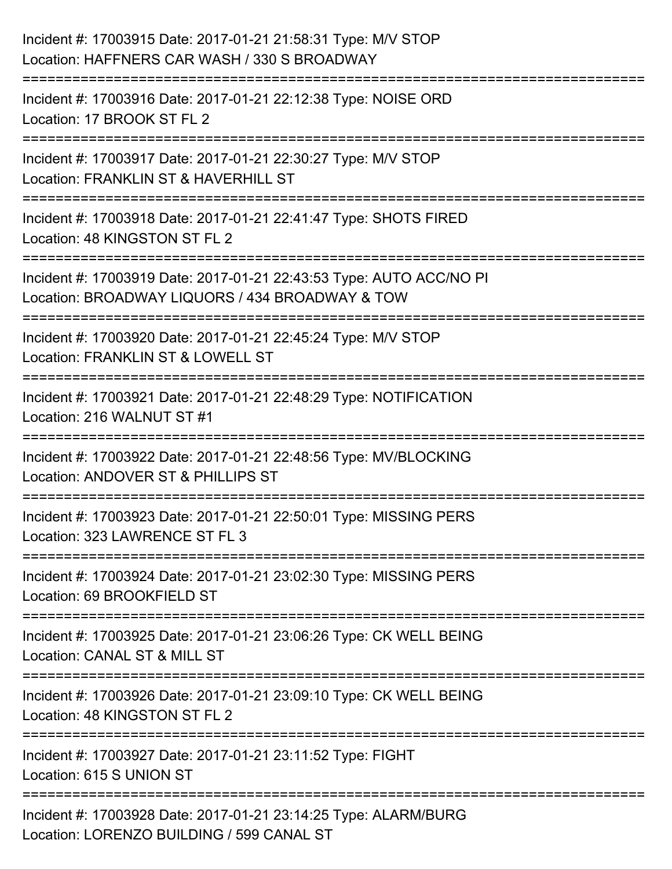| Incident #: 17003915 Date: 2017-01-21 21:58:31 Type: M/V STOP<br>Location: HAFFNERS CAR WASH / 330 S BROADWAY                                 |
|-----------------------------------------------------------------------------------------------------------------------------------------------|
| =======================<br>Incident #: 17003916 Date: 2017-01-21 22:12:38 Type: NOISE ORD<br>Location: 17 BROOK ST FL 2                       |
| Incident #: 17003917 Date: 2017-01-21 22:30:27 Type: M/V STOP<br>Location: FRANKLIN ST & HAVERHILL ST                                         |
| Incident #: 17003918 Date: 2017-01-21 22:41:47 Type: SHOTS FIRED<br>Location: 48 KINGSTON ST FL 2                                             |
| Incident #: 17003919 Date: 2017-01-21 22:43:53 Type: AUTO ACC/NO PI<br>Location: BROADWAY LIQUORS / 434 BROADWAY & TOW<br>:================== |
| Incident #: 17003920 Date: 2017-01-21 22:45:24 Type: M/V STOP<br>Location: FRANKLIN ST & LOWELL ST                                            |
| Incident #: 17003921 Date: 2017-01-21 22:48:29 Type: NOTIFICATION<br>Location: 216 WALNUT ST #1                                               |
| Incident #: 17003922 Date: 2017-01-21 22:48:56 Type: MV/BLOCKING<br>Location: ANDOVER ST & PHILLIPS ST                                        |
| Incident #: 17003923 Date: 2017-01-21 22:50:01 Type: MISSING PERS<br>Location: 323 LAWRENCE ST FL 3                                           |
| Incident #: 17003924 Date: 2017-01-21 23:02:30 Type: MISSING PERS<br>Location: 69 BROOKFIELD ST                                               |
| Incident #: 17003925 Date: 2017-01-21 23:06:26 Type: CK WELL BEING<br>Location: CANAL ST & MILL ST                                            |
| Incident #: 17003926 Date: 2017-01-21 23:09:10 Type: CK WELL BEING<br>Location: 48 KINGSTON ST FL 2                                           |
| Incident #: 17003927 Date: 2017-01-21 23:11:52 Type: FIGHT<br>Location: 615 S UNION ST                                                        |
| Incident #: 17003928 Date: 2017-01-21 23:14:25 Type: ALARM/BURG<br>Location: LORENZO BUILDING / 599 CANAL ST                                  |